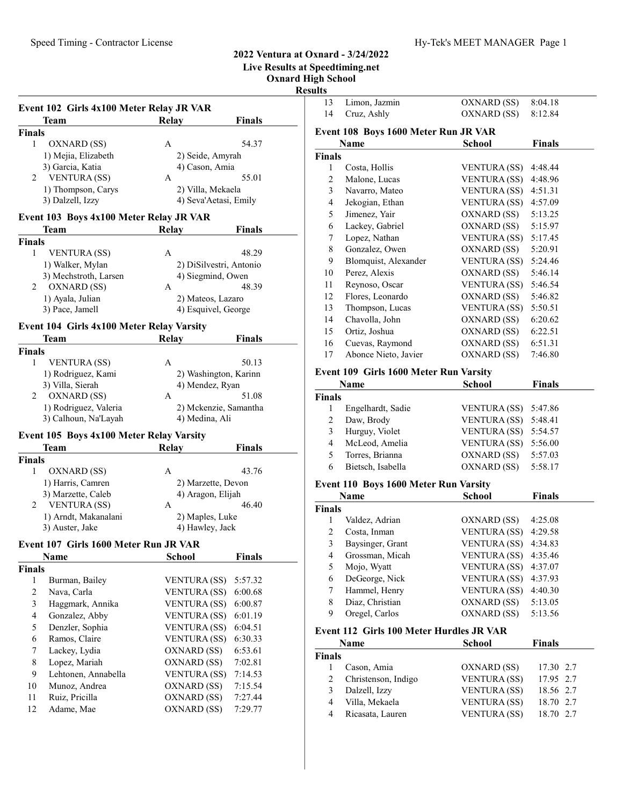Live Results at Speedtiming.net

Oxnard High School Resu

|                         | Event 102 Girls 4x100 Meter Relay JR VAR  |                        |                                                                                                       |  |
|-------------------------|-------------------------------------------|------------------------|-------------------------------------------------------------------------------------------------------|--|
|                         | Team                                      | Relay                  | <b>Finals</b>                                                                                         |  |
| Finals                  |                                           |                        |                                                                                                       |  |
| 1                       | OXNARD (SS)                               | A                      | 54.37                                                                                                 |  |
|                         | 1) Mejia, Elizabeth                       | 2) Seide, Amyrah       |                                                                                                       |  |
|                         | 3) Garcia, Katia                          | 4) Cason, Amia         |                                                                                                       |  |
| 2                       | VENTURA (SS)                              | A                      | 55.01                                                                                                 |  |
|                         | 1) Thompson, Carys                        | 2) Villa, Mekaela      |                                                                                                       |  |
|                         | 3) Dalzell, Izzy                          |                        | 4) Seva'Aetasi, Emily                                                                                 |  |
|                         | Event 103 Boys 4x100 Meter Relay JR VAR   |                        |                                                                                                       |  |
|                         | Team                                      | <b>Relay</b>           | <b>Finals</b>                                                                                         |  |
| <b>Finals</b>           |                                           |                        |                                                                                                       |  |
| 1                       | VENTURA (SS)                              | A                      | 48.29                                                                                                 |  |
|                         | 1) Walker, Mylan                          |                        | 2) DiSilvestri, Antonio                                                                               |  |
|                         | 3) Mechstroth, Larsen                     |                        | 4) Siegmind, Owen                                                                                     |  |
| 2                       | OXNARD (SS)                               | A                      | 48.39                                                                                                 |  |
|                         | 1) Ayala, Julian                          | 2) Mateos, Lazaro      |                                                                                                       |  |
|                         | 3) Pace, Jamell                           |                        | 4) Esquivel, George                                                                                   |  |
|                         | Event 104 Girls 4x100 Meter Relay Varsity |                        |                                                                                                       |  |
|                         | Team                                      | <b>Relay</b>           | <b>Finals</b>                                                                                         |  |
| <b>Finals</b><br>1      | <b>VENTURA (SS)</b>                       | A                      | 50.13                                                                                                 |  |
|                         |                                           |                        |                                                                                                       |  |
|                         | 1) Rodriguez, Kami                        |                        | 2) Washington, Karinn<br>4) Mendez, Ryan                                                              |  |
| 2                       | 3) Villa, Sierah<br>OXNARD (SS)           | A                      | 51.08                                                                                                 |  |
|                         | 1) Rodriguez, Valeria                     |                        | 2) Mckenzie, Samantha                                                                                 |  |
|                         | 3) Calhoun, Na'Layah                      | 4) Medina, Ali         |                                                                                                       |  |
|                         |                                           |                        |                                                                                                       |  |
|                         | Event 105 Boys 4x100 Meter Relay Varsity  |                        |                                                                                                       |  |
|                         | Team                                      | <b>Relay</b>           | <b>Finals</b>                                                                                         |  |
| <b>Finals</b>           |                                           |                        |                                                                                                       |  |
| 1                       | OXNARD (SS)                               | А                      | 43.76                                                                                                 |  |
|                         | 1) Harris, Camren                         |                        | 2) Marzette, Devon                                                                                    |  |
| 2                       | 3) Marzette, Caleb<br><b>VENTURA (SS)</b> | 4) Aragon, Elijah<br>A | 46.40                                                                                                 |  |
|                         | 1) Arndt, Makanalani                      | 2) Maples, Luke        |                                                                                                       |  |
|                         | 3) Auster, Jake                           | 4) Hawley, Jack        |                                                                                                       |  |
|                         |                                           |                        |                                                                                                       |  |
|                         |                                           |                        |                                                                                                       |  |
|                         | Event 107 Girls 1600 Meter Run JR VAR     |                        |                                                                                                       |  |
|                         | <b>Name</b>                               | School                 |                                                                                                       |  |
|                         |                                           |                        |                                                                                                       |  |
| 1                       | Burman, Bailey                            | VENTURA (SS)           |                                                                                                       |  |
| $\overline{c}$          | Nava, Carla                               | <b>VENTURA (SS)</b>    |                                                                                                       |  |
| 3                       | Haggmark, Annika                          | <b>VENTURA (SS)</b>    |                                                                                                       |  |
| $\overline{\mathbf{4}}$ | Gonzalez, Abby                            | <b>VENTURA (SS)</b>    |                                                                                                       |  |
| 5                       | Denzler, Sophia                           | <b>VENTURA (SS)</b>    |                                                                                                       |  |
| 6                       | Ramos, Claire                             | <b>VENTURA (SS)</b>    |                                                                                                       |  |
| 7                       | Lackey, Lydia                             | OXNARD (SS)            |                                                                                                       |  |
| 8                       | Lopez, Mariah                             | OXNARD (SS)            | <b>Finals</b><br>5:57.32<br>6:00.68<br>6:00.87<br>6:01.19<br>6:04.51<br>6:30.33<br>6:53.61<br>7:02.81 |  |
| 9                       | Lehtonen, Annabella                       | <b>VENTURA (SS)</b>    |                                                                                                       |  |
| 10                      | Munoz, Andrea                             | OXNARD (SS)            |                                                                                                       |  |
| Finals<br>11            | Ruiz, Pricilla                            | OXNARD (SS)            | 7:14.53<br>7:15.54<br>7:27.44                                                                         |  |
| 12                      | Adame, Mae                                | OXNARD (SS)            | 7:29.77                                                                                               |  |

| lts                     |                                          |                     |               |  |
|-------------------------|------------------------------------------|---------------------|---------------|--|
| 13                      | Limon, Jazmin                            | OXNARD (SS)         | 8:04.18       |  |
| 14                      | Cruz, Ashly                              | OXNARD (SS)         | 8:12.84       |  |
|                         | Event 108 Boys 1600 Meter Run JR VAR     |                     |               |  |
|                         | Name                                     | School              | <b>Finals</b> |  |
| Finals                  |                                          |                     |               |  |
| 1                       | Costa, Hollis                            | VENTURA (SS)        | 4:48.44       |  |
| $\mathfrak{2}$          | Malone, Lucas                            | <b>VENTURA (SS)</b> | 4:48.96       |  |
| 3                       | Navarro, Mateo                           | VENTURA (SS)        | 4:51.31       |  |
| 4                       | Jekogian, Ethan                          | VENTURA (SS)        | 4:57.09       |  |
| 5                       | Jimenez, Yair                            | OXNARD (SS)         | 5:13.25       |  |
| 6                       | Lackey, Gabriel                          | OXNARD (SS)         | 5:15.97       |  |
| 7                       | Lopez, Nathan                            | <b>VENTURA (SS)</b> | 5:17.45       |  |
| $\,$ $\,$               | Gonzalez, Owen                           | OXNARD (SS)         | 5:20.91       |  |
| 9                       | Blomquist, Alexander                     | <b>VENTURA (SS)</b> | 5:24.46       |  |
| 10                      | Perez, Alexis                            | OXNARD (SS)         | 5:46.14       |  |
| 11                      | Reynoso, Oscar                           | <b>VENTURA (SS)</b> | 5:46.54       |  |
| 12                      | Flores, Leonardo                         | OXNARD (SS)         | 5:46.82       |  |
| 13                      | Thompson, Lucas                          | <b>VENTURA (SS)</b> | 5:50.51       |  |
| 14                      | Chavolla, John                           | OXNARD (SS)         | 6:20.62       |  |
| 15                      | Ortiz, Joshua                            | OXNARD (SS)         | 6:22.51       |  |
| 16                      | Cuevas, Raymond                          | OXNARD (SS)         | 6:51.31       |  |
| 17                      | Abonce Nieto, Javier                     | OXNARD (SS)         | 7:46.80       |  |
|                         | Event 109 Girls 1600 Meter Run Varsity   |                     |               |  |
|                         | Name                                     | School              | <b>Finals</b> |  |
| Finals                  |                                          |                     |               |  |
| 1                       | Engelhardt, Sadie                        | VENTURA (SS)        | 5:47.86       |  |
| 2                       | Daw, Brody                               | <b>VENTURA (SS)</b> | 5:48.41       |  |
| $\overline{\mathbf{3}}$ | Hurguy, Violet                           | VENTURA (SS)        | 5:54.57       |  |
| 4                       | McLeod, Amelia                           | VENTURA (SS)        | 5:56.00       |  |
| 5                       | Torres, Brianna                          | OXNARD (SS)         | 5:57.03       |  |
| 6                       | Bietsch, Isabella                        | OXNARD (SS)         | 5:58.17       |  |
|                         | Event 110 Boys 1600 Meter Run Varsity    |                     |               |  |
|                         | Name                                     | <b>School</b>       | <b>Finals</b> |  |
| Finals                  |                                          |                     |               |  |
| 1                       | Valdez, Adrian                           | OXNARD (SS)         | 4:25.08       |  |
| $\overline{c}$          | Costa, Inman                             | <b>VENTURA (SS)</b> | 4:29.58       |  |
| 3                       | Baysinger, Grant                         | VENTURA (SS)        | 4:34.83       |  |
| 4                       | Grossman, Micah                          | VENTURA (SS)        | 4:35.46       |  |
| 5                       | Mojo, Wyatt                              | <b>VENTURA (SS)</b> | 4:37.07       |  |
| 6                       | DeGeorge, Nick                           | <b>VENTURA (SS)</b> | 4:37.93       |  |
| $\boldsymbol{7}$        | Hammel, Henry                            | <b>VENTURA (SS)</b> | 4:40.30       |  |
| $\,$ $\,$               | Diaz, Christian                          | OXNARD (SS)         | 5:13.05       |  |
| 9                       | Oregel, Carlos                           | OXNARD (SS)         | 5:13.56       |  |
|                         | Event 112 Girls 100 Meter Hurdles JR VAR |                     |               |  |
|                         | <b>Name</b>                              | <b>School</b>       | <b>Finals</b> |  |
| Finals                  |                                          |                     |               |  |
| 1                       | Cason, Amia                              | OXNARD (SS)         | 17.30 2.7     |  |
| $\overline{c}$          | Christenson, Indigo                      | <b>VENTURA (SS)</b> | 17.95 2.7     |  |
| $\overline{\mathbf{3}}$ | Dalzell, Izzy                            | <b>VENTURA (SS)</b> | 18.56 2.7     |  |
| $\overline{\mathbf{4}}$ | Villa, Mekaela                           | <b>VENTURA (SS)</b> | 18.70 2.7     |  |
| $\overline{\mathbf{4}}$ | Ricasata, Lauren                         | <b>VENTURA (SS)</b> | 18.70 2.7     |  |
|                         |                                          |                     |               |  |
|                         |                                          |                     |               |  |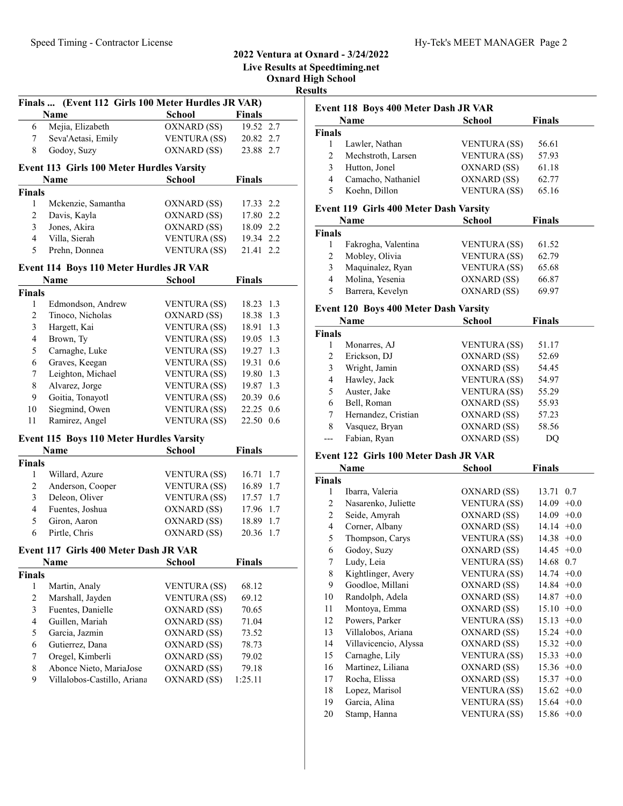## Oxnard High School Finals ... (Event 112 Girls 100 Meter Hurdles JR VAR) Name School Finals 6 19.52 2.7 Mejia, Elizabeth OXNARD (SS) 7 Seva'Aetasi, Emily VENTURA (SS) 20.82 2.7 8 Godoy, Suzy 0XNARD (SS) 23.88 2.7 Event 113 Girls 100 Meter Hurdles Varsity Name School Finals Finals 1 Mckenzie, Samantha OXNARD (SS) 17.33 2.2 2 Davis, Kayla OXNARD (SS) 17.80 2.2 3 18.09 2.2 Jones, Akira OXNARD (SS) 4 Villa, Sierah VENTURA (SS) 19.34 2.2 5 Prehn, Donnea VENTURA (SS) 21.41 2.2 Event 114 Boys 110 Meter Hurdles JR VAR Name School Finals Finals 1 Edmondson, Andrew VENTURA (SS) 18.23 1.3 2 Tinoco, Nicholas OXNARD (SS) 18.38 1.3 3 18.91 1.3 Hargett, Kai VENTURA (SS) 4 Brown, Ty VENTURA (SS) 19.05 1.3 5 Carnaghe, Luke VENTURA (SS) 19.27 1.3 6 Graves, Keegan VENTURA (SS) 19.31 0.6 7 Leighton, Michael VENTURA (SS) 19.80 1.3 8 Alvarez, Jorge VENTURA (SS) 19.87 1.3 9 Goitia, Tonayotl VENTURA (SS) 20.39 0.6 10 Siegmind, Owen VENTURA (SS) 22.25 0.6 11 Ramirez, Angel VENTURA (SS) 22.50 0.6 Event 115 Boys 110 Meter Hurdles Varsity Name School Finals Finals 1 Willard, Azure VENTURA (SS) 16.71 1.7 2 Anderson, Cooper VENTURA (SS) 16.89 1.7 3 Deleon, Oliver VENTURA (SS) 17.57 1.7 4 Fuentes, Joshua OXNARD (SS) 17.96 1.7 5 Giron, Aaron OXNARD (SS) 18.89 1.7 6 Pirtle, Chris OXNARD (SS) 20.36 1.7 Event 117 Girls 400 Meter Dash JR VAR Name School Finals Finals 1 Martin, Analy VENTURA (SS) 68.12 2 Marshall, Jayden VENTURA (SS) 69.12 3 Fuentes, Danielle OXNARD (SS) 70.65 4 Guillen, Mariah OXNARD (SS) 71.04 5 Garcia, Jazmin OXNARD (SS) 73.52 6 Gutierrez, Dana OXNARD (SS) 78.73 7 Oregel, Kimberli OXNARD (SS) 79.02 8 Abonce Nieto, MariaJose OXNARD (SS) 79.18 9 Villalobos-Castillo, Ariana OXNARD (SS) 1:25.11  $\overline{F}$  $\overline{F}$ i

2022 Ventura at Oxnard - 3/24/2022 Live Results at Speedtiming.net

Results

|        | Name               | <b>School</b>       | <b>Finals</b> |
|--------|--------------------|---------------------|---------------|
| Finals |                    |                     |               |
|        | Lawler, Nathan     | <b>VENTURA</b> (SS) | 56.61         |
| 2      | Mechstroth, Larsen | <b>VENTURA</b> (SS) | 57.93         |
| 3      | Hutton, Jonel      | OXNARD (SS)         | 61.18         |
| 4      | Camacho, Nathaniel | OXNARD (SS)         | 62.77         |
|        | Koehn, Dillon      | <b>VENTURA (SS)</b> | 65.16         |

#### Event 119 Girls 400 Meter Dash Varsity

|       | Name                | <b>School</b>       | <b>Finals</b> |  |
|-------|---------------------|---------------------|---------------|--|
| inals |                     |                     |               |  |
|       | Fakrogha, Valentina | <b>VENTURA</b> (SS) | 61.52         |  |
|       | Mobley, Olivia      | <b>VENTURA</b> (SS) | 62.79         |  |
|       | Maquinalez, Ryan    | <b>VENTURA</b> (SS) | 65.68         |  |
|       | Molina, Yesenia     | OXNARD (SS)         | 66.87         |  |
|       | Barrera, Kevelyn    | OXNARD (SS)         | 69.97         |  |

#### Event 120 Boys 400 Meter Dash Varsity

|      | Name                | School              | <b>Finals</b> |  |
|------|---------------------|---------------------|---------------|--|
| nals |                     |                     |               |  |
|      | Monarres, AJ        | <b>VENTURA (SS)</b> | 51.17         |  |
| 2    | Erickson, DJ        | OXNARD (SS)         | 52.69         |  |
| 3    | Wright, Jamin       | OXNARD (SS)         | 54.45         |  |
| 4    | Hawley, Jack        | <b>VENTURA</b> (SS) | 54.97         |  |
| 5    | Auster, Jake        | <b>VENTURA</b> (SS) | 55.29         |  |
| 6    | Bell, Roman         | OXNARD (SS)         | 55.93         |  |
| 7    | Hernandez, Cristian | OXNARD (SS)         | 57.23         |  |
| 8    | Vasquez, Bryan      | OXNARD (SS)         | 58.56         |  |
|      | Fabian, Ryan        | OXNARD (SS)         | DO            |  |
|      |                     |                     |               |  |

#### Event 122 Girls 100 Meter Dash JR VAR

|                | Name                  | School              | <b>Finals</b>   |
|----------------|-----------------------|---------------------|-----------------|
| Finals         |                       |                     |                 |
| 1              | Ibarra, Valeria       | OXNARD (SS)         | 13.71<br>0.7    |
| $\overline{2}$ | Nasarenko, Juliette   | <b>VENTURA (SS)</b> | 14.09<br>$+0.0$ |
| 2              | Seide, Amyrah         | OXNARD (SS)         | 14.09<br>$+0.0$ |
| 4              | Corner, Albany        | OXNARD (SS)         | 14.14<br>$+0.0$ |
| 5              | Thompson, Carys       | <b>VENTURA (SS)</b> | 14.38<br>$+0.0$ |
| 6              | Godoy, Suzy           | OXNARD (SS)         | $14.45 +0.0$    |
| 7              | Ludy, Leia            | VENTURA (SS)        | 14.68 0.7       |
| 8              | Kightlinger, Avery    | <b>VENTURA (SS)</b> | 14.74<br>$+0.0$ |
| 9              | Goodloe, Millani      | OXNARD (SS)         | 14.84<br>$+0.0$ |
| 10             | Randolph, Adela       | OXNARD (SS)         | 14.87<br>$+0.0$ |
| 11             | Montoya, Emma         | OXNARD (SS)         | $+0.0$<br>15.10 |
| 12             | Powers, Parker        | <b>VENTURA (SS)</b> | 15.13<br>$+0.0$ |
| 13             | Villalobos, Ariana    | OXNARD (SS)         | 15.24<br>$+0.0$ |
| 14             | Villavicencio, Alyssa | OXNARD (SS)         | 15.32<br>$+0.0$ |
| 15             | Carnaghe, Lily        | <b>VENTURA (SS)</b> | 15.33<br>$+0.0$ |
| 16             | Martinez, Liliana     | OXNARD (SS)         | 15.36<br>$+0.0$ |
| 17             | Rocha, Elissa         | OXNARD (SS)         | 15.37<br>$+0.0$ |
| 18             | Lopez, Marisol        | <b>VENTURA (SS)</b> | 15.62<br>$+0.0$ |
| 19             | Garcia, Alina         | <b>VENTURA (SS)</b> | $+0.0$<br>15.64 |
| 20             | Stamp, Hanna          | <b>VENTURA (SS)</b> | $15.86 +0.0$    |
|                |                       |                     |                 |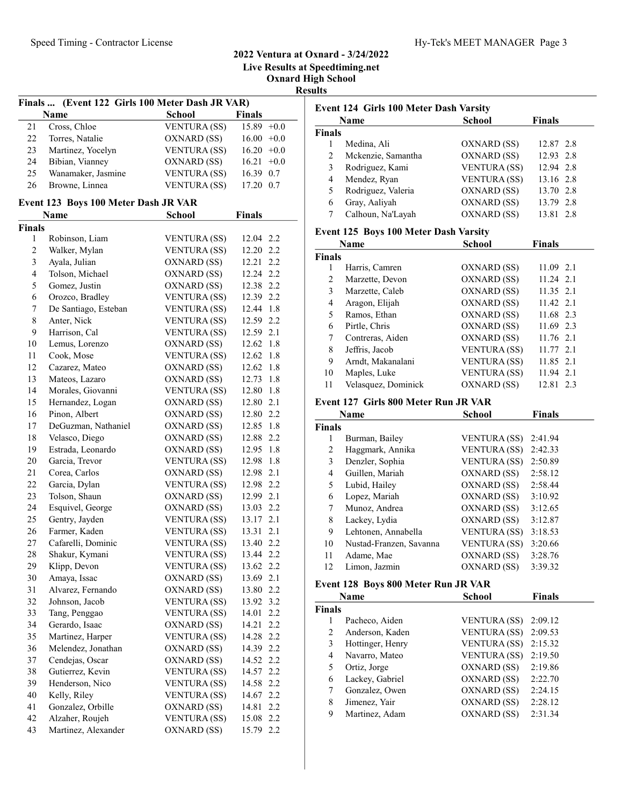Live Results at Speedtiming.net

Oxnard High School

Results

|                | Finals  (Event 122 Girls 100 Meter Dash JR VAR) |                     |                |         |
|----------------|-------------------------------------------------|---------------------|----------------|---------|
|                | <b>Name</b>                                     | <b>School</b>       | <b>Finals</b>  |         |
| 21             | Cross, Chloe                                    | VENTURA (SS)        | $15.89 + 0.0$  |         |
| 22             | Torres, Natalie                                 | OXNARD (SS)         | $16.00 + 0.0$  |         |
| 23             | Martinez, Yocelyn                               | <b>VENTURA (SS)</b> |                |         |
| 24             | Bibian, Vianney                                 |                     | $16.20 +0.0$   |         |
|                |                                                 | OXNARD (SS)         | 16.21          | $+0.0$  |
| 25             | Wanamaker, Jasmine                              | <b>VENTURA (SS)</b> | 16.39 0.7      |         |
| 26             | Browne, Linnea                                  | VENTURA (SS)        | 17.20 0.7      |         |
|                | Event 123 Boys 100 Meter Dash JR VAR            |                     |                |         |
|                | Name                                            | <b>School</b>       | <b>Finals</b>  |         |
| <b>Finals</b>  |                                                 |                     |                |         |
| 1              | Robinson, Liam                                  | <b>VENTURA</b> (SS) | 12.04 2.2      |         |
| $\overline{c}$ | Walker, Mylan                                   | <b>VENTURA (SS)</b> | 12.20 2.2      |         |
| $\mathfrak{Z}$ | Ayala, Julian                                   | OXNARD (SS)         | 12.21          | 2.2     |
| 4              | Tolson, Michael                                 | OXNARD (SS)         | 12.24 2.2      |         |
| 5              | Gomez, Justin                                   | OXNARD (SS)         | 12.38 2.2      |         |
| 6              | Orozco, Bradley                                 | <b>VENTURA (SS)</b> | 12.39 2.2      |         |
| 7              | De Santiago, Esteban                            | <b>VENTURA (SS)</b> | 12.44 1.8      |         |
| 8              | Anter, Nick                                     | <b>VENTURA</b> (SS) | 12.59 2.2      |         |
| 9              | Harrison, Cal                                   | <b>VENTURA (SS)</b> | 12.59 2.1      |         |
| $10\,$         | Lemus, Lorenzo                                  | OXNARD (SS)         | 12.62 1.8      |         |
| 11             | Cook, Mose                                      | <b>VENTURA (SS)</b> | 12.62 1.8      |         |
| 12             | Cazarez, Mateo                                  | OXNARD (SS)         | 12.62 1.8      |         |
| 13             | Mateos, Lazaro                                  | OXNARD (SS)         | 12.73          | 1.8     |
| 14             | Morales, Giovanni                               | VENTURA (SS)        | 12.80 1.8      |         |
| 15             | Hernandez, Logan                                | OXNARD (SS)         | 12.80          | 2.1     |
| 16             | Pinon, Albert                                   | OXNARD (SS)         | 12.80 2.2      |         |
| 17             | DeGuzman, Nathaniel                             | OXNARD (SS)         | 12.85 1.8      |         |
| 18             | Velasco, Diego                                  | OXNARD (SS)         | 12.88          | 2.2     |
| 19             | Estrada, Leonardo                               | OXNARD (SS)         |                | 1.8     |
| 20             | Garcia, Trevor                                  | <b>VENTURA (SS)</b> | 12.95<br>12.98 | 1.8     |
| 21             | Corea, Carlos                                   |                     | 12.98 2.1      |         |
| 22             |                                                 | OXNARD (SS)         | 12.98 2.2      |         |
| 23             | Garcia, Dylan<br>Tolson, Shaun                  | VENTURA (SS)        |                |         |
|                |                                                 | OXNARD (SS)         | 12.99 2.1      |         |
| 24             | Esquivel, George                                | OXNARD (SS)         | 13.03 2.2      |         |
| 25             | Gentry, Jayden                                  | <b>VENTURA (SS)</b> | 13.17 2.1      |         |
| 26             | Farmer, Kaden                                   | <b>VENTURA (SS)</b> | 13.31          | 2.1     |
| 27             | Cafarelli, Dominic                              | <b>VENTURA (SS)</b> | 13.40          | 2.2     |
| 28             | Shakur, Kymani                                  | <b>VENTURA (SS)</b> | 13.44          | 2.2     |
| 29             | Klipp, Devon                                    | <b>VENTURA (SS)</b> | 13.62          | 2.2     |
| 30             | Amaya, Issac                                    | OXNARD (SS)         | 13.69          | 2.1     |
| 31             | Alvarez, Fernando                               | OXNARD (SS)         | 13.80          | 2.2     |
| 32             | Johnson, Jacob                                  | <b>VENTURA (SS)</b> | 13.92          | 3.2     |
| 33             | Tang, Penggao                                   | <b>VENTURA (SS)</b> | 14.01          | 2.2     |
| 34             | Gerardo, Isaac                                  | OXNARD (SS)         | 14.21          | 2.2     |
| 35             | Martinez, Harper                                | <b>VENTURA (SS)</b> | 14.28          | 2.2     |
| 36             | Melendez, Jonathan                              | OXNARD (SS)         | 14.39 2.2      |         |
| 37             | Cendejas, Oscar                                 | OXNARD (SS)         | 14.52 2.2      |         |
| 38             | Gutierrez, Kevin                                | <b>VENTURA (SS)</b> | 14.57          | $2.2\,$ |
| 39             | Henderson, Nico                                 | <b>VENTURA (SS)</b> | 14.58          | $2.2\,$ |
| 40             | Kelly, Riley                                    | <b>VENTURA (SS)</b> | 14.67          | 2.2     |
| 41             | Gonzalez, Orbille                               | OXNARD (SS)         | 14.81          | 2.2     |
| 42             | Alzaher, Roujeh                                 | <b>VENTURA (SS)</b> | 15.08          | 2.2     |
| 43             | Martinez, Alexander                             | OXNARD (SS)         | 15.79          | 2.2     |
|                |                                                 |                     |                |         |

|                | Event 124 Girls 100 Meter Dash Varsity |                     |               |
|----------------|----------------------------------------|---------------------|---------------|
|                | <b>Name</b>                            | <b>School</b>       | <b>Finals</b> |
| <b>Finals</b>  |                                        |                     |               |
| $\mathbf{1}$   | Medina, Ali                            | OXNARD (SS)         | 12.87 2.8     |
| $\overline{c}$ | Mckenzie, Samantha                     | OXNARD (SS)         | 12.93 2.8     |
| 3              | Rodriguez, Kami                        | <b>VENTURA (SS)</b> | 12.94 2.8     |
| $\overline{4}$ | Mendez, Ryan                           | <b>VENTURA (SS)</b> | 13.16 2.8     |
| 5              | Rodriguez, Valeria                     | OXNARD (SS)         | 13.70 2.8     |
| 6              | Gray, Aaliyah                          | OXNARD (SS)         | 13.79 2.8     |
| 7              | Calhoun, Na'Layah                      | OXNARD (SS)         | 13.81 2.8     |
|                | Event 125 Boys 100 Meter Dash Varsity  |                     |               |
|                | <b>Name</b>                            | <b>School</b>       | <b>Finals</b> |
| <b>Finals</b>  |                                        |                     |               |
| 1              | Harris, Camren                         | OXNARD (SS)         | 11.09 2.1     |
| 2              | Marzette, Devon                        | OXNARD (SS)         | 11.24 2.1     |
| 3              | Marzette, Caleb                        | OXNARD (SS)         | 11.35 2.1     |
| $\overline{4}$ | Aragon, Elijah                         | OXNARD (SS)         | 11.42 2.1     |
| 5              | Ramos, Ethan                           | OXNARD (SS)         | 11.68 2.3     |
| 6              | Pirtle, Chris                          | OXNARD (SS)         | 11.69 2.3     |
| 7              | Contreras, Aiden                       | OXNARD (SS)         | 11.76 2.1     |
| 8              | Jeffris, Jacob                         | <b>VENTURA (SS)</b> | 11.77 2.1     |
| 9              | Arndt, Makanalani                      | VENTURA (SS)        | 11.85 2.1     |
| 10             | Maples, Luke                           | <b>VENTURA (SS)</b> | 11.94 2.1     |
| 11             | Velasquez, Dominick                    | OXNARD (SS)         | 12.81 2.3     |
|                | Event 127 Girls 800 Meter Run JR VAR   |                     |               |
|                | <b>Name</b>                            | <b>School</b>       | <b>Finals</b> |
| <b>Finals</b>  |                                        |                     |               |
| 1              | Burman, Bailey                         | <b>VENTURA</b> (SS) | 2:41.94       |
| 2              | Haggmark, Annika                       | <b>VENTURA (SS)</b> | 2:42.33       |
| 3              | Denzler, Sophia                        | <b>VENTURA (SS)</b> | 2:50.89       |
| 4              | Guillen, Mariah                        | OXNARD (SS)         | 2:58.12       |
| 5              | Lubid, Hailey                          | OXNARD (SS)         | 2:58.44       |
| 6              | Lopez, Mariah                          | OXNARD (SS)         | 3:10.92       |
| 7              | Munoz, Andrea                          | OXNARD (SS)         | 3:12.65       |
| 8              | Lackey, Lydia                          | OXNARD (SS)         | 3:12.87       |
| 9              | Lehtonen. Annabella                    | VENTUR A (SS) -     | 3:18.53       |

## 9 Lehtonen, Annabella VENTURA (SS) 3:18.53 10 Nustad-Franzen, Savanna VENTURA (SS) 3:20.66 11 Adame, Mae OXNARD (SS) 3:28.76 12 Limon, Jazmin OXNARD (SS) 3:39.32

## Event 128 Boys 800 Meter Run JR VAR

|        | Name             | School              | <b>Finals</b> |
|--------|------------------|---------------------|---------------|
| Finals |                  |                     |               |
|        | Pacheco, Aiden   | VENTURA (SS)        | 2:09.12       |
| 2      | Anderson, Kaden  | <b>VENTURA (SS)</b> | 2:09.53       |
| 3      | Hottinger, Henry | <b>VENTURA</b> (SS) | 2:15.32       |
| 4      | Navarro, Mateo   | <b>VENTURA (SS)</b> | 2:19.50       |
| 5      | Ortiz, Jorge     | OXNARD (SS)         | 2:19.86       |
| 6      | Lackey, Gabriel  | OXNARD (SS)         | 2:22.70       |
|        | Gonzalez, Owen   | OXNARD (SS)         | 2:24.15       |
| 8      | Jimenez, Yair    | OXNARD (SS)         | 2:28.12       |
| 9      | Martinez, Adam   | OXNARD (SS)         | 2:31.34       |
|        |                  |                     |               |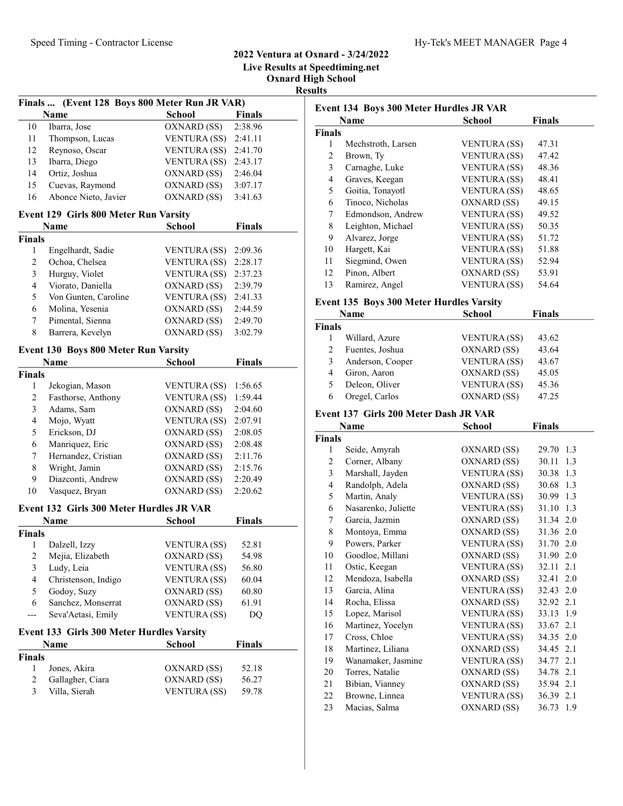Live Results at Speedtiming.net

Oxnard High School

Results

|                         | Finals  (Event 128 Boys 800 Meter Run JR VAR) |                     |               |  |
|-------------------------|-----------------------------------------------|---------------------|---------------|--|
|                         | <b>Name</b>                                   | <b>School</b>       | <b>Finals</b> |  |
| 10                      | Ibarra, Jose                                  | OXNARD (SS)         | 2:38.96       |  |
| 11                      | Thompson, Lucas                               | VENTURA (SS)        | 2:41.11       |  |
| 12                      | Reynoso, Oscar                                | <b>VENTURA (SS)</b> | 2:41.70       |  |
| 13                      | Ibarra, Diego                                 | VENTURA (SS)        | 2:43.17       |  |
| 14                      | Ortiz, Joshua                                 | OXNARD (SS)         | 2:46.04       |  |
| 15                      | Cuevas, Raymond                               | OXNARD (SS)         | 3:07.17       |  |
| 16                      | Abonce Nieto, Javier                          | OXNARD (SS)         | 3:41.63       |  |
|                         | Event 129 Girls 800 Meter Run Varsity         |                     |               |  |
|                         | <b>Name</b>                                   | <b>School</b>       | Finals        |  |
| <b>Finals</b>           |                                               |                     |               |  |
| 1                       | Engelhardt, Sadie                             | VENTURA (SS)        | 2:09.36       |  |
| $\overline{c}$          | Ochoa, Chelsea                                | <b>VENTURA (SS)</b> | 2:28.17       |  |
| 3                       | Hurguy, Violet                                | VENTURA (SS)        | 2:37.23       |  |
| $\overline{4}$          | Viorato, Daniella                             | OXNARD (SS)         | 2:39.79       |  |
| 5                       | Von Gunten, Caroline                          | VENTURA (SS)        | 2:41.33       |  |
| 6                       | Molina, Yesenia                               | OXNARD (SS)         | 2:44.59       |  |
| 7                       | Pimental, Sienna                              | OXNARD (SS)         | 2:49.70       |  |
| 8                       | Barrera, Kevelyn                              | OXNARD (SS)         | 3:02.79       |  |
|                         | Event 130 Boys 800 Meter Run Varsity          |                     |               |  |
|                         | Name                                          | <b>School</b>       | Finals        |  |
| <b>Finals</b>           |                                               |                     |               |  |
| $\mathbf{1}$            | Jekogian, Mason                               | VENTURA (SS)        | 1:56.65       |  |
| 2                       | Fasthorse, Anthony                            | <b>VENTURA (SS)</b> | 1:59.44       |  |
| 3                       | Adams, Sam                                    | OXNARD (SS)         | 2:04.60       |  |
| $\overline{4}$          | Mojo, Wyatt                                   | <b>VENTURA (SS)</b> | 2:07.91       |  |
| 5                       | Erickson, DJ                                  | OXNARD (SS)         | 2:08.05       |  |
| 6                       | Manriquez, Eric                               | OXNARD (SS)         | 2:08.48       |  |
| 7                       | Hernandez, Cristian                           | OXNARD (SS)         | 2:11.76       |  |
| 8                       | Wright, Jamin                                 | OXNARD (SS)         | 2:15.76       |  |
| 9                       | Diazconti, Andrew                             | OXNARD (SS)         | 2:20.49       |  |
| 10                      | Vasquez, Bryan                                | OXNARD (SS)         | 2:20.62       |  |
|                         | Event 132 Girls 300 Meter Hurdles JR VAR      |                     |               |  |
|                         | <b>Name</b>                                   | School              | <b>Finals</b> |  |
| <b>Finals</b>           |                                               |                     |               |  |
| 1                       | Dalzell, Izzy                                 | VENTURA (SS)        | 52.81         |  |
| $\overline{\mathbf{c}}$ | Mejia, Elizabeth                              | OXNARD (SS)         | 54.98         |  |
| 3                       | Ludy, Leia                                    | <b>VENTURA (SS)</b> | 56.80         |  |
| $\overline{4}$          | Christenson, Indigo                           | <b>VENTURA (SS)</b> | 60.04         |  |
| 5                       | Godoy, Suzy                                   | OXNARD (SS)         | 60.80         |  |
| 6                       | Sanchez, Monserrat                            | OXNARD (SS)         | 61.91         |  |
| ---                     | Seva'Aetasi, Emily                            | <b>VENTURA (SS)</b> | DO            |  |
|                         | Event 133 Girls 300 Meter Hurdles Varsity     |                     |               |  |
|                         | Name                                          | <b>School</b>       | <b>Finals</b> |  |
| <b>Finals</b>           |                                               |                     |               |  |
| 1                       | Jones, Akira                                  | OXNARD (SS)         | 52.18         |  |
| 2                       | Gallagher, Ciara                              | OXNARD (SS)         | 56.27         |  |
| 3                       | Villa, Sierah                                 | <b>VENTURA (SS)</b> | 59.78         |  |
|                         |                                               |                     |               |  |

|               | Name                                     | School              | <b>Finals</b> |
|---------------|------------------------------------------|---------------------|---------------|
| <b>Finals</b> |                                          |                     |               |
| 1             | Mechstroth, Larsen                       | <b>VENTURA</b> (SS) | 47.31         |
| 2             | Brown, Ty                                | <b>VENTURA</b> (SS) | 47.42         |
| 3             | Carnaghe, Luke                           | <b>VENTURA (SS)</b> | 48.36         |
| 4             | Graves, Keegan                           | <b>VENTURA</b> (SS) | 48.41         |
| 5             | Goitia, Tonayotl                         | <b>VENTURA</b> (SS) | 48.65         |
| 6             | Tinoco, Nicholas                         | OXNARD (SS)         | 49.15         |
| 7             | Edmondson, Andrew                        | <b>VENTURA (SS)</b> | 49.52         |
| 8             | Leighton, Michael                        | <b>VENTURA (SS)</b> | 50.35         |
| 9             | Alvarez, Jorge                           | <b>VENTURA</b> (SS) | 51.72         |
| 10            | Hargett, Kai                             | <b>VENTURA (SS)</b> | 51.88         |
| 11            | Siegmind, Owen                           | <b>VENTURA (SS)</b> | 52.94         |
| 12            | Pinon, Albert                            | OXNARD (SS)         | 53.91         |
| 13            | Ramirez, Angel                           | <b>VENTURA (SS)</b> | 54.64         |
|               | Event 135 Boys 300 Meter Hurdles Varsity |                     |               |
|               |                                          |                     |               |

|                               | Name             | <b>School</b>       | <b>Finals</b> |  |
|-------------------------------|------------------|---------------------|---------------|--|
| <b>Finals</b>                 |                  |                     |               |  |
|                               | Willard, Azure   | <b>VENTURA</b> (SS) | 43.62         |  |
| $\mathfrak{D}_{\mathfrak{p}}$ | Fuentes, Joshua  | OXNARD (SS)         | 43.64         |  |
| 3                             | Anderson, Cooper | <b>VENTURA</b> (SS) | 43.67         |  |
| 4                             | Giron, Aaron     | OXNARD (SS)         | 45.05         |  |
| 5                             | Deleon, Oliver   | <b>VENTURA</b> (SS) | 45.36         |  |
| 6                             | Oregel, Carlos   | OXNARD (SS)         | 47.25         |  |

#### Event 137 Girls 200 Meter Dash JR VAR

|                | Name                | School              | <b>Finals</b> |
|----------------|---------------------|---------------------|---------------|
| <b>Finals</b>  |                     |                     |               |
| 1              | Seide, Amyrah       | OXNARD (SS)         | 29.70 1.3     |
| 2              | Corner, Albany      | OXNARD (SS)         | 30.11<br>1.3  |
| $\mathfrak{Z}$ | Marshall, Jayden    | <b>VENTURA (SS)</b> | 30.38 1.3     |
| 4              | Randolph, Adela     | OXNARD (SS)         | 30.68 1.3     |
| 5              | Martin, Analy       | <b>VENTURA (SS)</b> | 30.99 1.3     |
| 6              | Nasarenko, Juliette | <b>VENTURA (SS)</b> | 31.10 1.3     |
| 7              | Garcia, Jazmin      | OXNARD (SS)         | 31.34 2.0     |
| 8              | Montoya, Emma       | OXNARD (SS)         | 31.36 2.0     |
| 9              | Powers, Parker      | <b>VENTURA (SS)</b> | 31.70 2.0     |
| 10             | Goodloe, Millani    | OXNARD (SS)         | 31.90 2.0     |
| 11             | Ostic, Keegan       | <b>VENTURA (SS)</b> | 32.11 2.1     |
| 12             | Mendoza, Isabella   | OXNARD (SS)         | 32.41<br>2.0  |
| 13             | Garcia, Alina       | <b>VENTURA (SS)</b> | 32.43 2.0     |
| 14             | Rocha, Elissa       | OXNARD (SS)         | 32.92 2.1     |
| 15             | Lopez, Marisol      | <b>VENTURA (SS)</b> | 33.13 1.9     |
| 16             | Martinez, Yocelyn   | <b>VENTURA (SS)</b> | 33.67 2.1     |
| 17             | Cross, Chloe        | <b>VENTURA</b> (SS) | 34.35 2.0     |
| 18             | Martinez, Liliana   | OXNARD (SS)         | 34.45 2.1     |
| 19             | Wanamaker, Jasmine  | <b>VENTURA (SS)</b> | 34.77 2.1     |
| 20             | Torres, Natalie     | OXNARD (SS)         | 34.78 2.1     |
| 21             | Bibian, Vianney     | OXNARD (SS)         | 35.94 2.1     |
| 22             | Browne, Linnea      | <b>VENTURA (SS)</b> | 36.39 2.1     |
| 23             | Macias, Salma       | OXNARD (SS)         | 36.73<br>1.9  |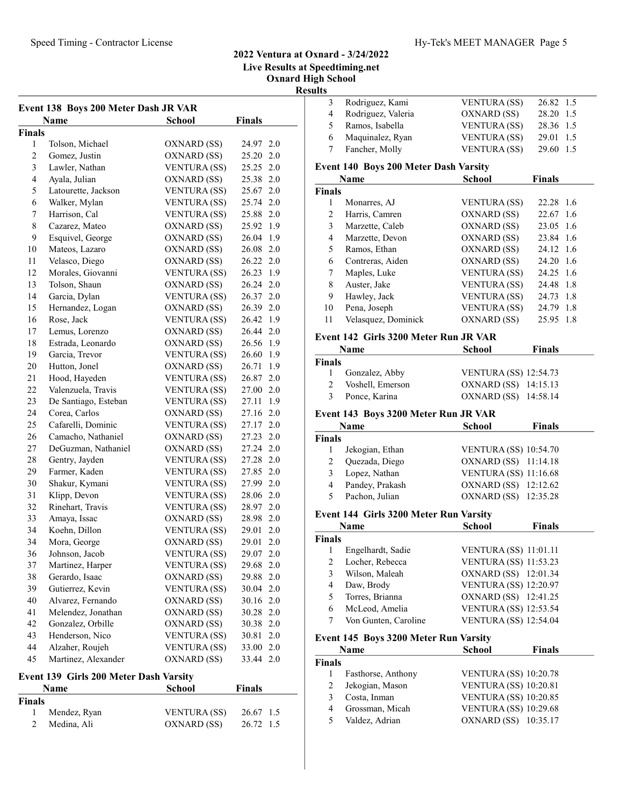#### 2022 Ventura at Oxnard - 3/24/2022 Live Results at Speedtiming.net

Oxnard High School

Results

| Event 138 Boys 200 Meter Dash JR VAR |                      |                     |                |
|--------------------------------------|----------------------|---------------------|----------------|
|                                      | Name                 | <b>School</b>       | <b>Finals</b>  |
| Finals                               |                      |                     |                |
| 1                                    | Tolson, Michael      | OXNARD (SS)         | 24.97 2.0      |
| $\sqrt{2}$                           | Gomez, Justin        | OXNARD (SS)         | 25.20 2.0      |
| $\mathfrak{Z}$                       | Lawler, Nathan       | <b>VENTURA (SS)</b> | 25.25 2.0      |
| $\overline{\mathbf{4}}$              | Ayala, Julian        | OXNARD (SS)         | 25.38 2.0      |
| 5                                    | Latourette, Jackson  | <b>VENTURA (SS)</b> | 2.0<br>25.67   |
| 6                                    | Walker, Mylan        | VENTURA (SS)        | 25.74 2.0      |
| $\tau$                               | Harrison, Cal        | <b>VENTURA (SS)</b> | 25.88 2.0      |
| $\,$ $\,$                            | Cazarez, Mateo       | OXNARD (SS)         | 25.92 1.9      |
| 9                                    | Esquivel, George     | OXNARD (SS)         | 26.04 1.9      |
| 10                                   | Mateos, Lazaro       | OXNARD (SS)         | 26.08 2.0      |
| 11                                   | Velasco, Diego       | OXNARD (SS)         | 26.22 2.0      |
| 12                                   | Morales, Giovanni    | <b>VENTURA (SS)</b> | 26.23 1.9      |
| 13                                   | Tolson, Shaun        | OXNARD (SS)         | 26.24 2.0      |
| 14                                   | Garcia, Dylan        | <b>VENTURA (SS)</b> | 26.37 2.0      |
| 15                                   | Hernandez, Logan     | OXNARD (SS)         | 26.39 2.0      |
| 16                                   | Rose, Jack           | <b>VENTURA (SS)</b> | 26.42 1.9      |
| 17                                   | Lemus, Lorenzo       | OXNARD (SS)         | 26.44 2.0      |
| 18                                   | Estrada, Leonardo    | OXNARD (SS)         | 26.56 1.9      |
| 19                                   | Garcia, Trevor       | <b>VENTURA (SS)</b> | 26.60 1.9      |
| 20                                   | Hutton, Jonel        | OXNARD (SS)         | 26.71 1.9      |
| 21                                   | Hood, Hayeden        | <b>VENTURA (SS)</b> | 26.87 2.0      |
| 22                                   | Valenzuela, Travis   | VENTURA (SS)        | 27.00 2.0      |
| 23                                   | De Santiago, Esteban | VENTURA (SS)        | 27.11 1.9      |
| 24                                   | Corea, Carlos        | OXNARD (SS)         | 27.16 2.0      |
| 25                                   | Cafarelli, Dominic   | <b>VENTURA (SS)</b> | 2.0<br>27.17   |
| 26                                   | Camacho, Nathaniel   | OXNARD (SS)         | 27.23<br>2.0   |
| 27                                   | DeGuzman, Nathaniel  | OXNARD (SS)         | 27.24 2.0      |
| 28                                   | Gentry, Jayden       | VENTURA (SS)        | 27.28 2.0      |
| 29                                   | Farmer, Kaden        | <b>VENTURA (SS)</b> | 27.85 2.0      |
| 30                                   | Shakur, Kymani       | <b>VENTURA (SS)</b> | 27.99 2.0      |
| 31                                   | Klipp, Devon         | <b>VENTURA (SS)</b> | 28.06 2.0      |
| 32                                   | Rinehart, Travis     | <b>VENTURA (SS)</b> | 28.97 2.0      |
| 33                                   | Amaya, Issac         | OXNARD (SS)         | 28.98 2.0      |
| 34                                   | Koehn, Dillon        | <b>VENTURA (SS)</b> | 29.01<br>2.0   |
| 34                                   | Mora, George         | OXNARD (SS)         | 2.0<br>29.01   |
| 36                                   | Johnson, Jacob       | <b>VENTURA (SS)</b> | 29.07 2.0      |
| 37                                   | Martinez, Harper     | <b>VENTURA (SS)</b> | 29.68<br>2.0   |
| 38                                   | Gerardo, Isaac       | OXNARD (SS)         | 29.88<br>2.0   |
| 39                                   | Gutierrez, Kevin     | <b>VENTURA (SS)</b> | 30.04<br>2.0   |
| 40                                   | Alvarez, Fernando    | OXNARD (SS)         | 30.16<br>2.0   |
| 41                                   | Melendez, Jonathan   | OXNARD (SS)         | 30.28<br>2.0   |
| 42                                   | Gonzalez, Orbille    | OXNARD (SS)         | $2.0$<br>30.38 |
| 43                                   | Henderson, Nico      | VENTURA (SS)        | 30.81<br>2.0   |
| 44                                   | Alzaher, Roujeh      | <b>VENTURA (SS)</b> | 2.0<br>33.00   |
| 45                                   | Martinez, Alexander  | OXNARD (SS)         | 33.44<br>2.0   |

# Event 139 Girls 200 Meter Dash Varsity

|               | <b>Name</b>  | School              | <b>Finals</b> |
|---------------|--------------|---------------------|---------------|
| <b>Finals</b> |              |                     |               |
|               | Mendez, Ryan | <b>VENTURA</b> (SS) | 26.67 1.5     |
|               | Medina, Ali  | OXNARD (SS)         | 26.72 1.5     |

| 3 Rodriguez, Kami    | <b>VENTURA</b> (SS) | 26.82 1.5 |
|----------------------|---------------------|-----------|
| 4 Rodriguez, Valeria | OXNARD (SS)         | 28.20 1.5 |
| 5 Ramos, Isabella    | <b>VENTURA</b> (SS) | 28.36 1.5 |
| 6 Maquinalez, Ryan   | <b>VENTURA</b> (SS) | 29.01 1.5 |
| 7 Fancher, Molly     | <b>VENTURA (SS)</b> | 29.60 1.5 |
|                      |                     |           |

#### Event 140 Boys 200 Meter Dash Varsity

|               | Name                | School              | <b>Finals</b> |
|---------------|---------------------|---------------------|---------------|
| <b>Finals</b> |                     |                     |               |
|               | Monarres, AJ        | VENTURA (SS)        | 22.28 1.6     |
| 2             | Harris, Camren      | OXNARD (SS)         | 22.67 1.6     |
| 3             | Marzette, Caleb     | OXNARD (SS)         | 23.05 1.6     |
| 4             | Marzette, Devon     | OXNARD (SS)         | 23.84 1.6     |
| 5             | Ramos, Ethan        | OXNARD (SS)         | 24.12 1.6     |
| 6             | Contreras, Aiden    | OXNARD (SS)         | 24.20 1.6     |
| 7             | Maples, Luke        | <b>VENTURA (SS)</b> | 24.25 1.6     |
| 8             | Auster, Jake        | <b>VENTURA</b> (SS) | 24.48 1.8     |
| 9             | Hawley, Jack        | <b>VENTURA</b> (SS) | 24.73 1.8     |
| 10            | Pena, Joseph        | <b>VENTURA</b> (SS) | 24.79 1.8     |
| 11            | Velasquez, Dominick | OXNARD (SS)         | 25.95 1.8     |

# Event 142 Girls 3200 Meter Run JR VAR

| <b>Name</b>   |                  | School                       | <b>Finals</b> |
|---------------|------------------|------------------------------|---------------|
| <b>Finals</b> |                  |                              |               |
|               | Gonzalez, Abby   | <b>VENTURA (SS) 12:54.73</b> |               |
| $2^{\circ}$   | Voshell, Emerson | OXNARD (SS) 14:15.13         |               |
| 3             | Ponce, Karina    | OXNARD (SS) 14:58.14         |               |

#### Event 143 Boys 3200 Meter Run JR VAR

|        | Name            | <b>School</b>                | <b>Finals</b> |
|--------|-----------------|------------------------------|---------------|
| Finals |                 |                              |               |
|        | Jekogian, Ethan | <b>VENTURA (SS) 10:54.70</b> |               |
|        | Quezada, Diego  | OXNARD (SS) 11:14.18         |               |
|        | Lopez, Nathan   | <b>VENTURA (SS) 11:16.68</b> |               |
| 4      | Pandey, Prakash | OXNARD (SS) 12:12.62         |               |
|        | Pachon, Julian  | OXNARD (SS) 12:35.28         |               |
|        |                 |                              |               |

#### Event 144 Girls 3200 Meter Run Varsity

|               | Name                 | <b>School</b>                | <b>Finals</b> |
|---------------|----------------------|------------------------------|---------------|
| <b>Finals</b> |                      |                              |               |
|               | Engelhardt, Sadie    | <b>VENTURA (SS) 11:01.11</b> |               |
| 2             | Locher, Rebecca      | <b>VENTURA (SS) 11:53.23</b> |               |
| 3             | Wilson, Maleah       | OXNARD (SS) 12:01.34         |               |
| 4             | Daw, Brody           | <b>VENTURA (SS) 12:20.97</b> |               |
| 5             | Torres, Brianna      | OXNARD (SS) 12:41.25         |               |
| 6             | McLeod, Amelia       | <b>VENTURA (SS) 12:53.54</b> |               |
|               | Von Gunten, Caroline | <b>VENTURA (SS) 12:54.04</b> |               |
|               | $\cdots$             |                              |               |

#### Event 145 Boys 3200 Meter Run Varsity Name School Finals  $\overline{\mathbf{F}}$

| `inals |                    |                              |
|--------|--------------------|------------------------------|
|        | Fasthorse, Anthony | <b>VENTURA (SS) 10:20.78</b> |
|        | Jekogian, Mason    | <b>VENTURA (SS) 10:20.81</b> |
|        | Costa, Inman       | <b>VENTURA (SS) 10:20.85</b> |
| 4      | Grossman, Micah    | <b>VENTURA (SS) 10:29.68</b> |
| 5      | Valdez, Adrian     | OXNARD (SS) 10:35.17         |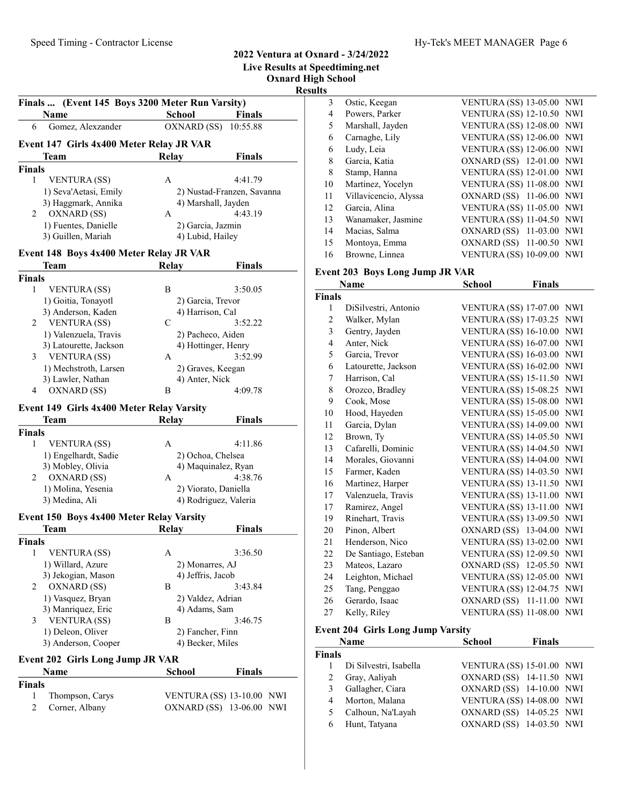Live Results at Speedtiming.net Oxnard High School Results

Finals ... (Event 145 Boys 3200 Meter Run Varsity) Name School Finals 6 Gomez, Alexzander OXNARD (SS) 10:55.88 Event 147 Girls 4x400 Meter Relay JR VAR Team Relay Finals Finals 1 VENTURA (SS) A 4:41.79 1) Seva'Aetasi, Emily 2) Nustad-Franzen, Savanna<br>3) Haggmark, Annika 4) Marshall, Jayden 3) Haggmark, Annika 4) Marshall, Jayden<br>OXNARD (SS) A 4:43.19 2 OXNARD (SS) A 1) Fuentes, Danielle 2) Garcia, Jazmin 3) Guillen, Mariah 4) Lubid, Hailey

#### Event 148 Boys 4x400 Meter Relay JR VAR

Team Relay Finals

| Finals                   |                |                     |
|--------------------------|----------------|---------------------|
| <b>VENTURA</b> (SS)<br>1 | В              | 3:50.05             |
| 1) Goitia, Tonayotl      |                | 2) Garcia, Trevor   |
| 3) Anderson, Kaden       |                | 4) Harrison, Cal    |
| VENTURA (SS)<br>2        | C              | 3:52.22             |
| 1) Valenzuela, Travis    |                | 2) Pacheco, Aiden   |
| 3) Latourette, Jackson   |                | 4) Hottinger, Henry |
| VENTURA (SS)<br>3        | A              | 3:52.99             |
| 1) Mechstroth, Larsen    |                | 2) Graves, Keegan   |
| 3) Lawler, Nathan        | 4) Anter, Nick |                     |
| OXNARD (SS)<br>4         | в              | 4:09.78             |

## Event 149 Girls 4x400 Meter Relay Varsity

| Team                 | Relay | Finals                |
|----------------------|-------|-----------------------|
| <b>Finals</b>        |       |                       |
| <b>VENTURA</b> (SS)  | A     | 4:11.86               |
| 1) Engelhardt, Sadie |       | 2) Ochoa, Chelsea     |
| 3) Mobley, Olivia    |       | 4) Maquinalez, Ryan   |
| OXNARD (SS)          | A     | 4:38.76               |
| 1) Molina, Yesenia   |       | 2) Viorato, Daniella  |
| 3) Medina, Ali       |       | 4) Rodriguez, Valeria |

#### Event 150 Boys 4x400 Meter Relay Varsity

| <b>Team</b>              | Relav             | <b>Finals</b>     |
|--------------------------|-------------------|-------------------|
| Finals                   |                   |                   |
| <b>VENTURA</b> (SS)<br>1 | A                 | 3:36.50           |
| 1) Willard, Azure        | 2) Monarres, AJ   |                   |
| 3) Jekogian, Mason       | 4) Jeffris, Jacob |                   |
| OXNARD (SS)<br>2         | В                 | 3:43.84           |
| 1) Vasquez, Bryan        |                   | 2) Valdez, Adrian |
| 3) Manriquez, Eric       | 4) Adams, Sam     |                   |
| <b>VENTURA</b> (SS)<br>3 | В                 | 3:46.75           |
| 1) Deleon, Oliver        | 2) Fancher, Finn  |                   |
| 3) Anderson, Cooper      | 4) Becker, Miles  |                   |

#### Event 202 Girls Long Jump JR VAR

|               | <b>Name</b>      | School                           | <b>Finals</b> |  |
|---------------|------------------|----------------------------------|---------------|--|
| <b>Finals</b> |                  |                                  |               |  |
| 1             | Thompson, Carys  | <b>VENTURA (SS) 13-10.00 NWI</b> |               |  |
|               | 2 Corner, Albany | OXNARD (SS) 13-06.00 NWI         |               |  |

| 3  | Ostic, Keegan         | VENTURA (SS) 13-05.00 NWI        |  |
|----|-----------------------|----------------------------------|--|
| 4  | Powers, Parker        | <b>VENTURA (SS) 12-10.50 NWI</b> |  |
| 5  | Marshall, Jayden      | <b>VENTURA (SS) 12-08.00 NWI</b> |  |
| 6  | Carnaghe, Lily        | VENTURA (SS) 12-06.00 NWI        |  |
| 6  | Ludy, Leia            | <b>VENTURA (SS) 12-06.00 NWI</b> |  |
| 8  | Garcia, Katia         | OXNARD (SS) 12-01.00 NWI         |  |
| 8  | Stamp, Hanna          | VENTURA (SS) 12-01.00 NWI        |  |
| 10 | Martinez, Yocelyn     | VENTURA (SS) 11-08.00 NWI        |  |
| 11 | Villavicencio, Alyssa | OXNARD (SS) 11-06.00 NWI         |  |
| 12 | Garcia, Alina         | VENTURA (SS) 11-05.00 NWI        |  |
| 13 | Wanamaker, Jasmine    | VENTURA (SS) 11-04.50 NWI        |  |
| 14 | Macias, Salma         | OXNARD (SS) 11-03.00 NWI         |  |
| 15 | Montoya, Emma         | OXNARD (SS) 11-00.50 NWI         |  |
| 16 | Browne, Linnea        | <b>VENTURA (SS) 10-09.00 NWI</b> |  |

#### Event 203 Boys Long Jump JR VAR

|               | Name                 | School                       | <b>Finals</b> |            |
|---------------|----------------------|------------------------------|---------------|------------|
| <b>Finals</b> |                      |                              |               |            |
| 1             | DiSilvestri, Antonio | <b>VENTURA (SS) 17-07.00</b> |               | <b>NWI</b> |
| 2             | Walker, Mylan        | <b>VENTURA (SS) 17-03.25</b> |               | NWI        |
| 3             | Gentry, Jayden       | <b>VENTURA (SS) 16-10.00</b> |               | NWI        |
| 4             | Anter, Nick          | <b>VENTURA (SS) 16-07.00</b> |               | <b>NWI</b> |
| 5             | Garcia, Trevor       | <b>VENTURA (SS) 16-03.00</b> |               | <b>NWI</b> |
| 6             | Latourette, Jackson  | <b>VENTURA (SS) 16-02.00</b> |               | NWI        |
| 7             | Harrison, Cal        | <b>VENTURA (SS) 15-11.50</b> |               | NWI        |
| 8             | Orozco, Bradley      | <b>VENTURA (SS) 15-08.25</b> |               | NWI        |
| 9             | Cook, Mose           | <b>VENTURA (SS) 15-08.00</b> |               | NWI        |
| 10            | Hood, Hayeden        | <b>VENTURA (SS) 15-05.00</b> |               | NWI        |
| 11            | Garcia, Dylan        | <b>VENTURA (SS) 14-09.00</b> |               | <b>NWI</b> |
| 12            | Brown, Ty            | <b>VENTURA (SS) 14-05.50</b> |               | <b>NWI</b> |
| 13            | Cafarelli, Dominic   | <b>VENTURA (SS) 14-04.50</b> |               | NWI        |
| 14            | Morales, Giovanni    | <b>VENTURA (SS) 14-04.00</b> |               | NWI        |
| 15            | Farmer, Kaden        | <b>VENTURA (SS) 14-03.50</b> |               | <b>NWI</b> |
| 16            | Martinez, Harper     | <b>VENTURA (SS) 13-11.50</b> |               | <b>NWI</b> |
| 17            | Valenzuela, Travis   | <b>VENTURA (SS) 13-11.00</b> |               | <b>NWI</b> |
| 17            | Ramirez, Angel       | <b>VENTURA (SS) 13-11.00</b> |               | NWI        |
| 19            | Rinehart, Travis     | <b>VENTURA (SS) 13-09.50</b> |               | <b>NWI</b> |
| 20            | Pinon, Albert        | OXNARD (SS) 13-04.00         |               | NWI        |
| 21            | Henderson, Nico      | <b>VENTURA (SS) 13-02.00</b> |               | NWI        |
| 22            | De Santiago, Esteban | <b>VENTURA (SS) 12-09.50</b> |               | <b>NWI</b> |
| 23            | Mateos, Lazaro       | OXNARD (SS) 12-05.50         |               | NWI        |
| 24            | Leighton, Michael    | <b>VENTURA (SS) 12-05.00</b> |               | <b>NWI</b> |
| 25            | Tang, Penggao        | <b>VENTURA (SS) 12-04.75</b> |               | NWI        |
| 26            | Gerardo, Isaac       | OXNARD (SS) 11-11.00         |               | NWI        |
| 27            | Kelly, Riley         | <b>VENTURA (SS) 11-08.00</b> |               | NWI        |

#### Event 204 Girls Long Jump Varsity

|               | <b>Name</b>            | <b>School</b>                    | <b>Finals</b> |  |
|---------------|------------------------|----------------------------------|---------------|--|
| <b>Finals</b> |                        |                                  |               |  |
|               | Di Silvestri, Isabella | <b>VENTURA (SS) 15-01.00 NWI</b> |               |  |
| 2             | Gray, Aaliyah          | OXNARD (SS) 14-11.50 NWI         |               |  |
| 3             | Gallagher, Ciara       | OXNARD (SS) 14-10.00 NWI         |               |  |
| 4             | Morton, Malana         | VENTURA (SS) 14-08.00 NWI        |               |  |
| 5             | Calhoun, Na'Layah      | OXNARD (SS) 14-05.25 NWI         |               |  |
| 6             | Hunt, Tatyana          | OXNARD (SS) 14-03.50 NWI         |               |  |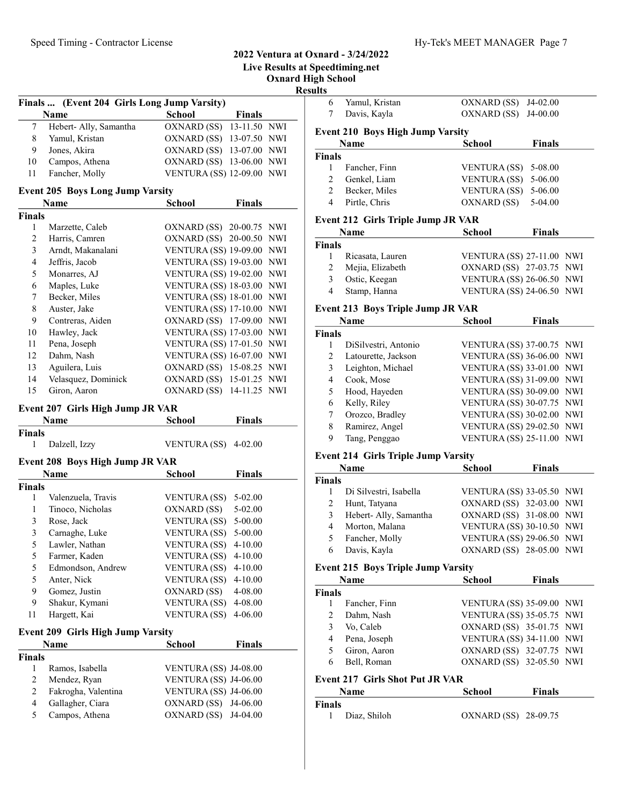Live Results at Speedtiming.net

Oxnard High School

Results

6 Yamul, Kristan OXNARD (SS) J4-02.00 Finals ... (Event 204 Girls Long Jump Varsity) L

|     | <b>Name</b>              | School | <b>Finals</b>                    |
|-----|--------------------------|--------|----------------------------------|
|     | 7 Hebert- Ally, Samantha |        | OXNARD (SS) 13-11.50 NWI         |
| 8.  | Yamul, Kristan           |        | OXNARD (SS) 13-07.50 NWI         |
| 9   | Jones, Akira             |        | OXNARD (SS) 13-07.00 NWI         |
| 10  | Campos, Athena           |        | OXNARD (SS) 13-06.00 NWI         |
| 11. | Fancher, Molly           |        | <b>VENTURA (SS) 12-09.00 NWI</b> |

#### Event 205 Boys Long Jump Varsity

|               | Name                | <b>School</b>                    | <b>Finals</b> |            |
|---------------|---------------------|----------------------------------|---------------|------------|
| <b>Finals</b> |                     |                                  |               |            |
| 1             | Marzette, Caleb     | OXNARD (SS) 20-00.75 NWI         |               |            |
| 2             | Harris, Camren      | OXNARD (SS) 20-00.50 NWI         |               |            |
| 3             | Arndt, Makanalani   | <b>VENTURA (SS) 19-09.00 NWI</b> |               |            |
| 4             | Jeffris, Jacob      | <b>VENTURA (SS) 19-03.00 NWI</b> |               |            |
| 5             | Monarres, AJ        | <b>VENTURA (SS) 19-02.00</b>     |               | NWI        |
| 6             | Maples, Luke        | <b>VENTURA (SS) 18-03.00</b>     |               | <b>NWI</b> |
| 7             | Becker, Miles       | <b>VENTURA (SS) 18-01.00</b>     |               | <b>NWI</b> |
| 8             | Auster, Jake        | <b>VENTURA (SS) 17-10.00 NWI</b> |               |            |
| 9             | Contreras, Aiden    | OXNARD (SS) 17-09.00 NWI         |               |            |
| 10            | Hawley, Jack        | <b>VENTURA (SS) 17-03.00 NWI</b> |               |            |
| 11            | Pena, Joseph        | VENTURA (SS) 17-01.50 NWI        |               |            |
| 12            | Dahm, Nash          | VENTURA (SS) 16-07.00 NWI        |               |            |
| 13            | Aguilera, Luis      | OXNARD (SS) 15-08.25 NWI         |               |            |
| 14            | Velasquez, Dominick | OXNARD (SS) 15-01.25 NWI         |               |            |
| 15            | Giron, Aaron        | OXNARD (SS) 14-11.25 NWI         |               |            |

#### Event 207 Girls High Jump JR VAR

| Name                                   | <b>School</b>          | <b>Finals</b> |
|----------------------------------------|------------------------|---------------|
| Finals                                 |                        |               |
| Dalzell, Izzy<br>1                     | VENTURA $(SS)$ 4-02.00 |               |
| <b>Event 208 Boys High Jump JR VAR</b> |                        |               |
| Name                                   | <b>School</b>          | Finals        |

| Finals |                    |                      |             |
|--------|--------------------|----------------------|-------------|
| 1      | Valenzuela, Travis | <b>VENTURA</b> (SS)  | $5-02.00$   |
|        | Tinoco, Nicholas   | OXNARD (SS)          | $5 - 02.00$ |
| 3      | Rose, Jack         | <b>VENTURA</b> (SS)  | 5-00.00     |
| 3      | Carnaghe, Luke     | <b>VENTURA</b> (SS)  | $5 - 00.00$ |
| 5      | Lawler, Nathan     | VENTURA (SS)         | $4 - 10.00$ |
| 5      | Farmer, Kaden      | <b>VENTURA (SS)</b>  | $4 - 10.00$ |
| 5      | Edmondson, Andrew  | <b>VENTURA (SS)</b>  | $4 - 10.00$ |
| 5      | Anter, Nick        | VENTURA (SS) 4-10.00 |             |
| 9      | Gomez, Justin      | OXNARD (SS)          | 4-08.00     |
| 9      | Shakur, Kymani     | <b>VENTURA (SS)</b>  | 4-08.00     |
|        | Hargett, Kai       | <b>VENTURA</b> (SS)  | 4-06.00     |

## Event 209 Girls High Jump Varsity

|               | <b>Name</b>         | <b>School</b>                | <b>Finals</b> |  |
|---------------|---------------------|------------------------------|---------------|--|
| <b>Finals</b> |                     |                              |               |  |
|               | Ramos, Isabella     | VENTURA (SS) J4-08.00        |               |  |
| 2             | Mendez, Ryan        | VENTURA (SS) J4-06.00        |               |  |
| 2             | Fakrogha, Valentina | <b>VENTURA (SS) J4-06.00</b> |               |  |
| 4             | Gallagher, Ciara    | OXNARD (SS) J4-06.00         |               |  |
| 5             | Campos, Athena      | OXNARD (SS) J4-04.00         |               |  |
|               |                     |                              |               |  |

| 7             | Davis, Kayla                            | OXNARD (SS) J4-00.00 |               |
|---------------|-----------------------------------------|----------------------|---------------|
|               | <b>Event 210 Boys High Jump Varsity</b> |                      |               |
|               | Name                                    | <b>School</b>        | <b>Finals</b> |
| <b>Finals</b> |                                         |                      |               |
| 1             | Fancher, Finn                           | VENTURA (SS)         | 5-08.00       |
| 2             | Genkel, Liam                            | VENTURA (SS)         | 5-06.00       |
| 2             | Becker, Miles                           | VENTURA (SS)         | 5-06.00       |
| 4             | Pirtle, Chris                           | OXNARD (SS)          | 5-04.00       |
|               | Event 212 Girls Triple Jump JR VAR      |                      |               |
|               | Name                                    | School               | <b>Finals</b> |
| <b>Finals</b> |                                         |                      |               |

| 1 Ricasata, Lauren | VENTURA (SS) 27-11.00 NWI |  |
|--------------------|---------------------------|--|
| 2 Mejia, Elizabeth | OXNARD (SS) 27-03.75 NWI  |  |
| 3 Ostic, Keegan    | VENTURA (SS) 26-06.50 NWI |  |
| 4 Stamp, Hanna     | VENTURA (SS) 24-06.50 NWI |  |

## Event 213 Boys Triple Jump JR VAR

|               | Name                 | <b>School</b>             | <b>Finals</b> |  |
|---------------|----------------------|---------------------------|---------------|--|
| <b>Finals</b> |                      |                           |               |  |
|               | DiSilvestri, Antonio | VENTURA (SS) 37-00.75 NWI |               |  |
| 2             | Latourette, Jackson  | VENTURA (SS) 36-06.00 NWI |               |  |
| 3             | Leighton, Michael    | VENTURA (SS) 33-01.00 NWI |               |  |
| 4             | Cook, Mose           | VENTURA (SS) 31-09.00 NWI |               |  |
| 5             | Hood, Hayeden        | VENTURA (SS) 30-09.00 NWI |               |  |
| 6             | Kelly, Riley         | VENTURA (SS) 30-07.75 NWI |               |  |
| 7             | Orozco, Bradley      | VENTURA (SS) 30-02.00 NWI |               |  |
| 8             | Ramirez, Angel       | VENTURA (SS) 29-02.50 NWI |               |  |
| 9             | Tang, Penggao        | VENTURA (SS) 25-11.00 NWI |               |  |

## Event 214 Girls Triple Jump Varsity

|               | Name                   | <b>School</b> | <b>Finals</b>             |
|---------------|------------------------|---------------|---------------------------|
| <b>Finals</b> |                        |               |                           |
|               | Di Silvestri, Isabella |               | VENTURA (SS) 33-05.50 NWI |
| 2             | Hunt, Tatyana          |               | OXNARD (SS) 32-03.00 NWI  |
| 3             | Hebert-Ally, Samantha  |               | OXNARD (SS) 31-08.00 NWI  |
| 4             | Morton, Malana         |               | VENTURA (SS) 30-10.50 NWI |
| 5             | Fancher, Molly         |               | VENTURA (SS) 29-06.50 NWI |
| 6             | Davis, Kayla           |               | OXNARD (SS) 28-05.00 NWI  |

### Event 215 Boys Triple Jump Varsity

|               | Name                                   | <b>School</b>                    | <b>Finals</b> |  |
|---------------|----------------------------------------|----------------------------------|---------------|--|
| <b>Finals</b> |                                        |                                  |               |  |
|               | Fancher, Finn                          | <b>VENTURA (SS) 35-09.00 NWI</b> |               |  |
| 2             | Dahm, Nash                             | VENTURA (SS) 35-05.75 NWI        |               |  |
| 3             | Vo, Caleb                              | OXNARD (SS) 35-01.75 NWI         |               |  |
| 4             | Pena, Joseph                           | VENTURA (SS) 34-11.00 NWI        |               |  |
| 5             | Giron, Aaron                           | OXNARD (SS) 32-07.75 NWI         |               |  |
| 6             | Bell, Roman                            | OXNARD (SS) 32-05.50 NWI         |               |  |
|               | <b>Event 217 Girls Shot Put JR VAR</b> |                                  |               |  |
|               | Name                                   | School                           | <b>Finals</b> |  |

| wann          | pengui               | т пинэ |
|---------------|----------------------|--------|
| <b>Finals</b> |                      |        |
| Diaz, Shiloh  | OXNARD (SS) 28-09.75 |        |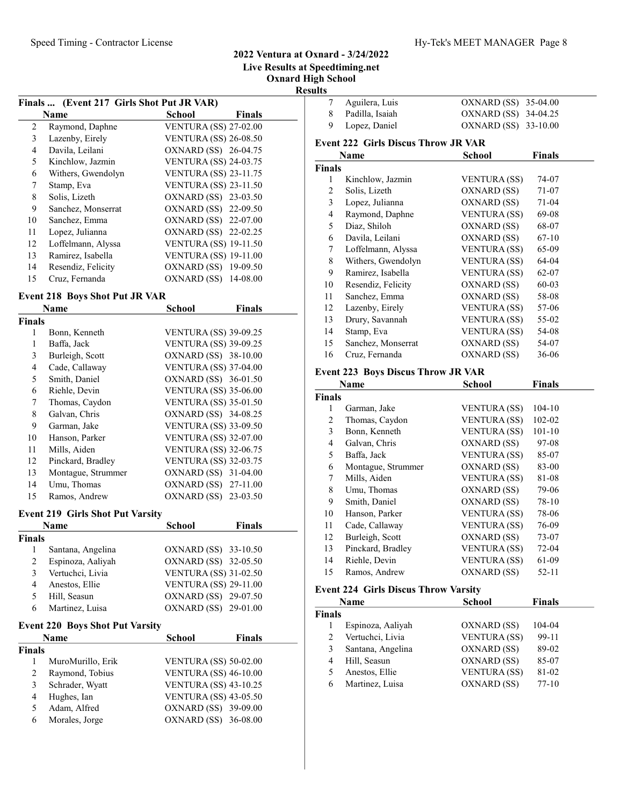## Live Results at Speedtiming.net Oxnard High School

Results

|    |                                           |                              | л      |
|----|-------------------------------------------|------------------------------|--------|
|    | Finals  (Event 217 Girls Shot Put JR VAR) |                              |        |
|    | Name                                      | School                       | Finals |
| 2  | Raymond, Daphne                           | <b>VENTURA (SS) 27-02.00</b> |        |
| 3  | Lazenby, Eirely                           | <b>VENTURA (SS) 26-08.50</b> |        |
| 4  | Davila, Leilani                           | OXNARD (SS) 26-04.75         |        |
| 5  | Kinchlow, Jazmin                          | <b>VENTURA (SS) 24-03.75</b> |        |
| 6  | Withers, Gwendolyn                        | <b>VENTURA (SS) 23-11.75</b> |        |
| 7  | Stamp, Eva                                | <b>VENTURA (SS) 23-11.50</b> |        |
| 8  | Solis, Lizeth                             | OXNARD (SS) 23-03.50         |        |
| 9  | Sanchez, Monserrat                        | OXNARD (SS) 22-09.50         |        |
| 10 | Sanchez, Emma                             | OXNARD (SS) 22-07.00         |        |
| 11 | Lopez, Julianna                           | OXNARD (SS) 22-02.25         |        |
| 12 | Loffelmann, Alyssa                        | <b>VENTURA (SS) 19-11.50</b> |        |
| 13 | Ramirez, Isabella                         | <b>VENTURA (SS) 19-11.00</b> |        |
| 14 | Resendiz, Felicity                        | OXNARD (SS) 19-09.50         |        |
| 15 | Cruz. Fernanda                            | OXNARD (SS) 14-08.00         |        |

## Event 218 Boys Shot Put JR VAR

|               | Name               | School                       | <b>Finals</b> |
|---------------|--------------------|------------------------------|---------------|
| <b>Finals</b> |                    |                              |               |
| 1             | Bonn, Kenneth      | <b>VENTURA (SS) 39-09.25</b> |               |
| 1             | Baffa, Jack        | <b>VENTURA (SS) 39-09.25</b> |               |
| 3             | Burleigh, Scott    | OXNARD (SS) 38-10.00         |               |
| 4             | Cade, Callaway     | <b>VENTURA (SS) 37-04.00</b> |               |
| 5             | Smith, Daniel      | OXNARD (SS) 36-01.50         |               |
| 6             | Riehle, Devin      | <b>VENTURA (SS) 35-06.00</b> |               |
| 7             | Thomas, Caydon     | <b>VENTURA (SS) 35-01.50</b> |               |
| 8             | Galvan, Chris      | OXNARD (SS) 34-08.25         |               |
| 9             | Garman, Jake       | <b>VENTURA (SS) 33-09.50</b> |               |
| 10            | Hanson, Parker     | <b>VENTURA (SS) 32-07.00</b> |               |
| 11            | Mills, Aiden       | <b>VENTURA (SS) 32-06.75</b> |               |
| 12            | Pinckard, Bradley  | <b>VENTURA (SS) 32-03.75</b> |               |
| 13            | Montague, Strummer | OXNARD (SS) 31-04.00         |               |
| 14            | Umu, Thomas        | OXNARD (SS) 27-11.00         |               |
| 15            | Ramos, Andrew      | OXNARD (SS) 23-03.50         |               |

## Event 219 Girls Shot Put Varsity

|        | Name              | <b>School</b>                | <b>Finals</b> |  |
|--------|-------------------|------------------------------|---------------|--|
| Finals |                   |                              |               |  |
|        | Santana, Angelina | OXNARD (SS) 33-10.50         |               |  |
| 2      | Espinoza, Aaliyah | OXNARD (SS) 32-05.50         |               |  |
| 3      | Vertuchci, Livia  | <b>VENTURA (SS) 31-02.50</b> |               |  |
| 4      | Anestos, Ellie    | <b>VENTURA (SS) 29-11.00</b> |               |  |
|        | Hill, Seasun      | OXNARD (SS) 29-07.50         |               |  |
| 6      | Martinez, Luisa   | OXNARD (SS) 29-01.00         |               |  |

#### Event 220 Boys Shot Put Varsity

|               | <b>Name</b>       | <b>School</b>                | <b>Finals</b> |
|---------------|-------------------|------------------------------|---------------|
| <b>Finals</b> |                   |                              |               |
|               | MuroMurillo, Erik | <b>VENTURA (SS) 50-02.00</b> |               |
| 2             | Raymond, Tobius   | <b>VENTURA (SS) 46-10.00</b> |               |
| 3             | Schrader, Wyatt   | <b>VENTURA (SS) 43-10.25</b> |               |
| 4             | Hughes, Ian       | <b>VENTURA (SS) 43-05.50</b> |               |
| 5             | Adam, Alfred      | OXNARD (SS) 39-09.00         |               |
| 6             | Morales, Jorge    | OXNARD (SS) 36-08.00         |               |

| 7              | Aguilera, Luis                             | OXNARD (SS)          | 35-04.00      |
|----------------|--------------------------------------------|----------------------|---------------|
| 8              | Padilla, Isaiah                            | OXNARD (SS) 34-04.25 |               |
| 9              | Lopez, Daniel                              | OXNARD (SS) 33-10.00 |               |
|                | <b>Event 222 Girls Discus Throw JR VAR</b> |                      |               |
|                | Name                                       | School               | <b>Finals</b> |
| Finals         |                                            |                      |               |
| 1              | Kinchlow, Jazmin                           | VENTURA (SS)         | 74-07         |
| 2              | Solis, Lizeth                              | OXNARD (SS)          | 71-07         |
| 3              | Lopez, Julianna                            | OXNARD (SS)          | $71-04$       |
| $\overline{4}$ | Raymond, Daphne                            | VENTURA (SS)         | 69-08         |
| 5              | Diaz, Shiloh                               | OXNARD (SS)          | 68-07         |
| 6              | Davila, Leilani                            | OXNARD (SS)          | $67 - 10$     |
| 7              | Loffelmann, Alyssa                         | VENTURA (SS)         | 65-09         |
| 8              | Withers, Gwendolyn                         | VENTURA (SS)         | 64-04         |
| 9              | Ramirez, Isabella                          | VENTURA (SS)         | 62-07         |
| 10             | Resendiz, Felicity                         | OXNARD (SS)          | 60-03         |
| 11             | Sanchez, Emma                              | OXNARD (SS)          | 58-08         |
| 12             | Lazenby, Eirely                            | VENTURA (SS)         | 57-06         |
| 13             | Drury, Savannah                            | VENTURA (SS)         | 55-02         |
| 14             | Stamp, Eva                                 | VENTURA (SS)         | 54-08         |
| 15             | Sanchez, Monserrat                         | OXNARD (SS)          | 54-07         |
| 16             | Cruz, Fernanda                             | OXNARD (SS)          | $36 - 06$     |
|                | <b>Event 223 Boys Discus Throw JR VAR</b>  |                      |               |

|               | Name               | <b>School</b>       | <b>Finals</b> |  |
|---------------|--------------------|---------------------|---------------|--|
| <b>Finals</b> |                    |                     |               |  |
| 1             | Garman, Jake       | <b>VENTURA</b> (SS) | $104-10$      |  |
| 2             | Thomas, Caydon     | <b>VENTURA</b> (SS) | 102-02        |  |
| 3             | Bonn, Kenneth      | <b>VENTURA</b> (SS) | $101 - 10$    |  |
| 4             | Galvan, Chris      | OXNARD (SS)         | 97-08         |  |
| 5             | Baffa, Jack        | <b>VENTURA</b> (SS) | 85-07         |  |
| 6             | Montague, Strummer | OXNARD (SS)         | 83-00         |  |
| 7             | Mills, Aiden       | <b>VENTURA (SS)</b> | 81-08         |  |
| 8             | Umu, Thomas        | OXNARD (SS)         | 79-06         |  |
| 9             | Smith, Daniel      | OXNARD (SS)         | 78-10         |  |
| 10            | Hanson, Parker     | <b>VENTURA</b> (SS) | 78-06         |  |
| 11            | Cade, Callaway     | <b>VENTURA</b> (SS) | 76-09         |  |
| 12            | Burleigh, Scott    | OXNARD (SS)         | 73-07         |  |
| 13            | Pinckard, Bradley  | <b>VENTURA</b> (SS) | 72-04         |  |
| 14            | Riehle, Devin      | <b>VENTURA (SS)</b> | 61-09         |  |
| 15            | Ramos, Andrew      | OXNARD (SS)         | $52 - 11$     |  |

## Event 224 Girls Discus Throw Varsity

|               | Name              | <b>School</b>       | <b>Finals</b> |
|---------------|-------------------|---------------------|---------------|
| <b>Finals</b> |                   |                     |               |
|               | Espinoza, Aaliyah | OXNARD (SS)         | 104-04        |
| 2             | Vertuchci, Livia  | <b>VENTURA (SS)</b> | 99-11         |
| 3             | Santana, Angelina | OXNARD (SS)         | 89-02         |
| 4             | Hill, Seasun      | OXNARD (SS)         | 85-07         |
| 5             | Anestos, Ellie    | <b>VENTURA (SS)</b> | 81-02         |
| 6             | Martinez, Luisa   | OXNARD (SS)         | $77-10$       |